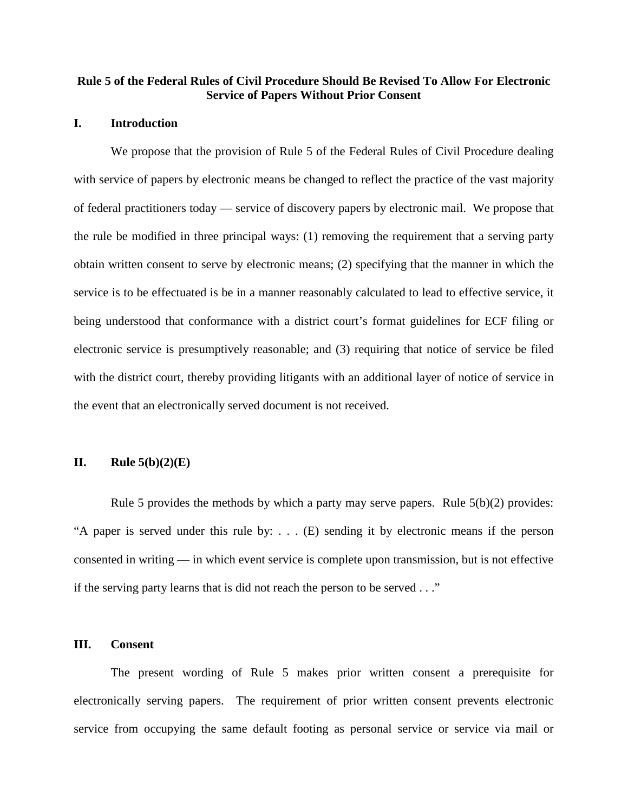# **Rule 5 of the Federal Rules of Civil Procedure Should Be Revised To Allow For Electronic Service of Papers Without Prior Consent**

## **I. Introduction**

We propose that the provision of Rule 5 of the Federal Rules of Civil Procedure dealing with service of papers by electronic means be changed to reflect the practice of the vast majority of federal practitioners today — service of discovery papers by electronic mail. We propose that the rule be modified in three principal ways: (1) removing the requirement that a serving party obtain written consent to serve by electronic means; (2) specifying that the manner in which the service is to be effectuated is be in a manner reasonably calculated to lead to effective service, it being understood that conformance with a district court's format guidelines for ECF filing or electronic service is presumptively reasonable; and (3) requiring that notice of service be filed with the district court, thereby providing litigants with an additional layer of notice of service in the event that an electronically served document is not received.

# **II. Rule 5(b)(2)(E)**

Rule 5 provides the methods by which a party may serve papers. Rule  $5(b)(2)$  provides: "A paper is served under this rule by: . . . (E) sending it by electronic means if the person consented in writing — in which event service is complete upon transmission, but is not effective if the serving party learns that is did not reach the person to be served . . ."

# **III. Consent**

The present wording of Rule 5 makes prior written consent a prerequisite for electronically serving papers. The requirement of prior written consent prevents electronic service from occupying the same default footing as personal service or service via mail or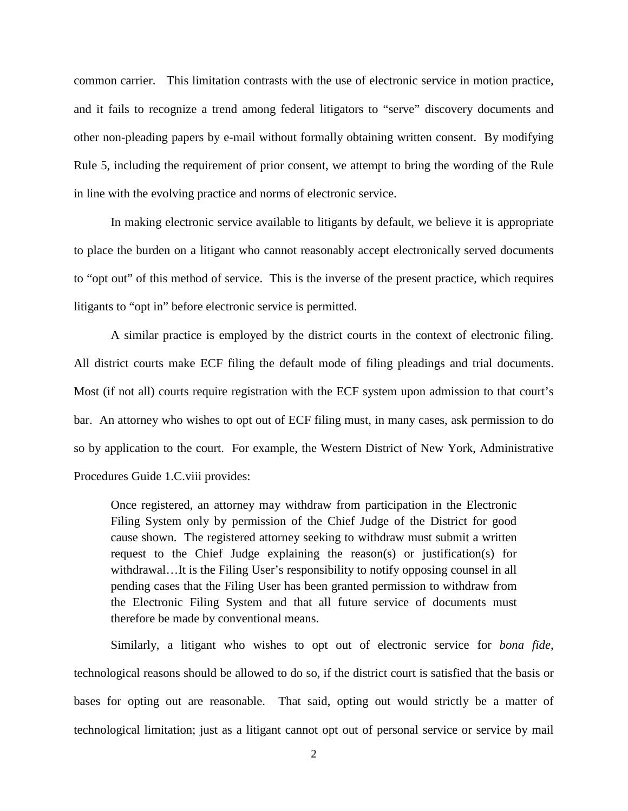common carrier. This limitation contrasts with the use of electronic service in motion practice, and it fails to recognize a trend among federal litigators to "serve" discovery documents and other non-pleading papers by e-mail without formally obtaining written consent. By modifying Rule 5, including the requirement of prior consent, we attempt to bring the wording of the Rule in line with the evolving practice and norms of electronic service.

In making electronic service available to litigants by default, we believe it is appropriate to place the burden on a litigant who cannot reasonably accept electronically served documents to "opt out" of this method of service. This is the inverse of the present practice, which requires litigants to "opt in" before electronic service is permitted.

A similar practice is employed by the district courts in the context of electronic filing. All district courts make ECF filing the default mode of filing pleadings and trial documents. Most (if not all) courts require registration with the ECF system upon admission to that court's bar. An attorney who wishes to opt out of ECF filing must, in many cases, ask permission to do so by application to the court. For example, the Western District of New York, Administrative Procedures Guide 1.C.viii provides:

Once registered, an attorney may withdraw from participation in the Electronic Filing System only by permission of the Chief Judge of the District for good cause shown. The registered attorney seeking to withdraw must submit a written request to the Chief Judge explaining the reason(s) or justification(s) for withdrawal…It is the Filing User's responsibility to notify opposing counsel in all pending cases that the Filing User has been granted permission to withdraw from the Electronic Filing System and that all future service of documents must therefore be made by conventional means.

Similarly, a litigant who wishes to opt out of electronic service for *bona fide*, technological reasons should be allowed to do so, if the district court is satisfied that the basis or bases for opting out are reasonable. That said, opting out would strictly be a matter of technological limitation; just as a litigant cannot opt out of personal service or service by mail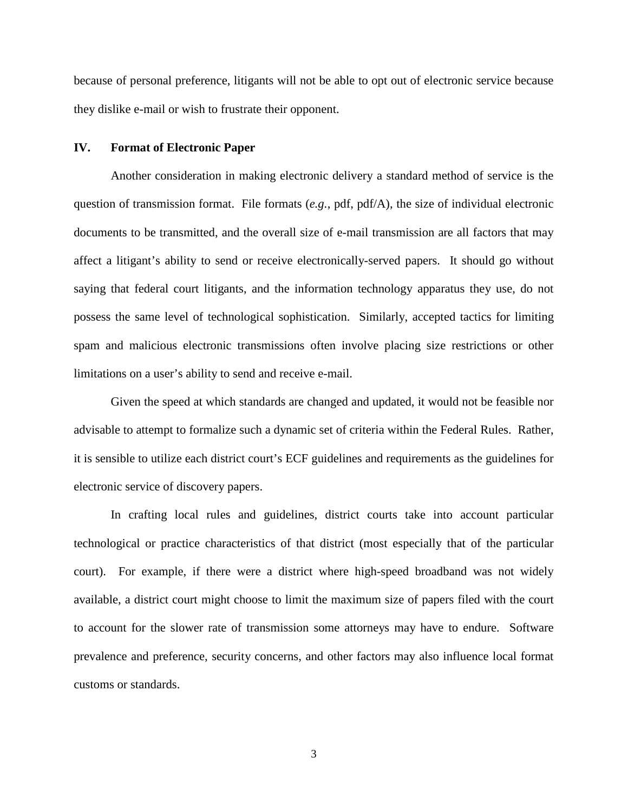because of personal preference, litigants will not be able to opt out of electronic service because they dislike e-mail or wish to frustrate their opponent.

## **IV. Format of Electronic Paper**

Another consideration in making electronic delivery a standard method of service is the question of transmission format. File formats (*e.g.*, pdf, pdf/A), the size of individual electronic documents to be transmitted, and the overall size of e-mail transmission are all factors that may affect a litigant's ability to send or receive electronically-served papers. It should go without saying that federal court litigants, and the information technology apparatus they use, do not possess the same level of technological sophistication. Similarly, accepted tactics for limiting spam and malicious electronic transmissions often involve placing size restrictions or other limitations on a user's ability to send and receive e-mail.

Given the speed at which standards are changed and updated, it would not be feasible nor advisable to attempt to formalize such a dynamic set of criteria within the Federal Rules. Rather, it is sensible to utilize each district court's ECF guidelines and requirements as the guidelines for electronic service of discovery papers.

In crafting local rules and guidelines, district courts take into account particular technological or practice characteristics of that district (most especially that of the particular court). For example, if there were a district where high-speed broadband was not widely available, a district court might choose to limit the maximum size of papers filed with the court to account for the slower rate of transmission some attorneys may have to endure. Software prevalence and preference, security concerns, and other factors may also influence local format customs or standards.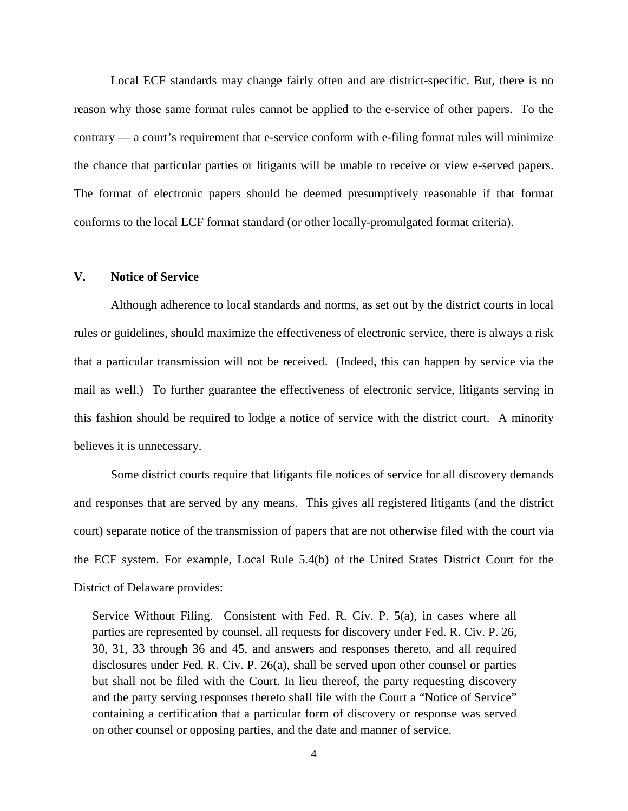Local ECF standards may change fairly often and are district-specific. But, there is no reason why those same format rules cannot be applied to the e-service of other papers. To the contrary — a court's requirement that e-service conform with e-filing format rules will minimize the chance that particular parties or litigants will be unable to receive or view e-served papers. The format of electronic papers should be deemed presumptively reasonable if that format conforms to the local ECF format standard (or other locally-promulgated format criteria).

## **V. Notice of Service**

Although adherence to local standards and norms, as set out by the district courts in local rules or guidelines, should maximize the effectiveness of electronic service, there is always a risk that a particular transmission will not be received. (Indeed, this can happen by service via the mail as well.) To further guarantee the effectiveness of electronic service, litigants serving in this fashion should be required to lodge a notice of service with the district court. A minority believes it is unnecessary.

Some district courts require that litigants file notices of service for all discovery demands and responses that are served by any means. This gives all registered litigants (and the district court) separate notice of the transmission of papers that are not otherwise filed with the court via the ECF system. For example, Local Rule 5.4(b) of the United States District Court for the District of Delaware provides:

Service Without Filing. Consistent with Fed. R. Civ. P. 5(a), in cases where all parties are represented by counsel, all requests for discovery under Fed. R. Civ. P. 26, 30, 31, 33 through 36 and 45, and answers and responses thereto, and all required disclosures under Fed. R. Civ. P. 26(a), shall be served upon other counsel or parties but shall not be filed with the Court. In lieu thereof, the party requesting discovery and the party serving responses thereto shall file with the Court a "Notice of Service" containing a certification that a particular form of discovery or response was served on other counsel or opposing parties, and the date and manner of service.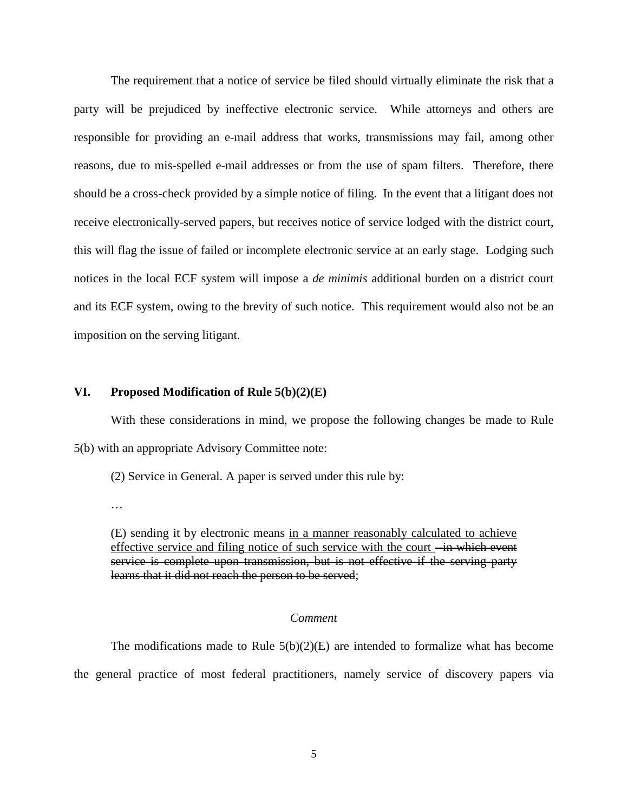The requirement that a notice of service be filed should virtually eliminate the risk that a party will be prejudiced by ineffective electronic service. While attorneys and others are responsible for providing an e-mail address that works, transmissions may fail, among other reasons, due to mis-spelled e-mail addresses or from the use of spam filters. Therefore, there should be a cross-check provided by a simple notice of filing. In the event that a litigant does not receive electronically-served papers, but receives notice of service lodged with the district court, this will flag the issue of failed or incomplete electronic service at an early stage. Lodging such notices in the local ECF system will impose a *de minimis* additional burden on a district court and its ECF system, owing to the brevity of such notice. This requirement would also not be an imposition on the serving litigant.

## **VI. Proposed Modification of Rule 5(b)(2)(E)**

With these considerations in mind, we propose the following changes be made to Rule 5(b) with an appropriate Advisory Committee note:

(2) Service in General. A paper is served under this rule by:

…

(E) sending it by electronic means in a manner reasonably calculated to achieve effective service and filing notice of such service with the court -in which event service is complete upon transmission, but is not effective if the serving party learns that it did not reach the person to be served;

#### *Comment*

The modifications made to Rule  $5(b)(2)(E)$  are intended to formalize what has become the general practice of most federal practitioners, namely service of discovery papers via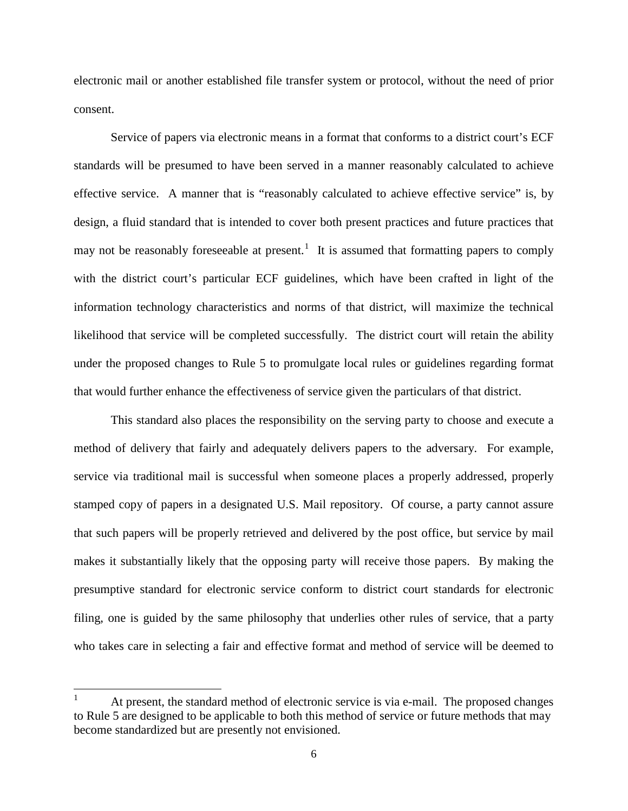electronic mail or another established file transfer system or protocol, without the need of prior consent.

Service of papers via electronic means in a format that conforms to a district court's ECF standards will be presumed to have been served in a manner reasonably calculated to achieve effective service. A manner that is "reasonably calculated to achieve effective service" is, by design, a fluid standard that is intended to cover both present practices and future practices that may not be reasonably foreseeable at present.<sup>[1](#page-5-0)</sup> It is assumed that formatting papers to comply with the district court's particular ECF guidelines, which have been crafted in light of the information technology characteristics and norms of that district, will maximize the technical likelihood that service will be completed successfully. The district court will retain the ability under the proposed changes to Rule 5 to promulgate local rules or guidelines regarding format that would further enhance the effectiveness of service given the particulars of that district.

This standard also places the responsibility on the serving party to choose and execute a method of delivery that fairly and adequately delivers papers to the adversary. For example, service via traditional mail is successful when someone places a properly addressed, properly stamped copy of papers in a designated U.S. Mail repository. Of course, a party cannot assure that such papers will be properly retrieved and delivered by the post office, but service by mail makes it substantially likely that the opposing party will receive those papers. By making the presumptive standard for electronic service conform to district court standards for electronic filing, one is guided by the same philosophy that underlies other rules of service, that a party who takes care in selecting a fair and effective format and method of service will be deemed to

<span id="page-5-0"></span>At present, the standard method of electronic service is via e-mail. The proposed changes to Rule 5 are designed to be applicable to both this method of service or future methods that may become standardized but are presently not envisioned.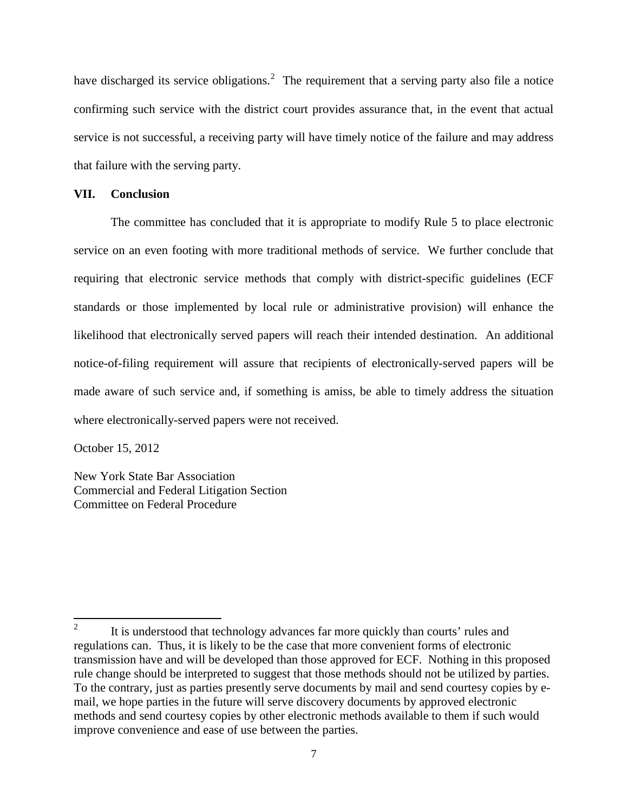have discharged its service obligations.<sup>[2](#page-6-0)</sup> The requirement that a serving party also file a notice confirming such service with the district court provides assurance that, in the event that actual service is not successful, a receiving party will have timely notice of the failure and may address that failure with the serving party.

# **VII. Conclusion**

The committee has concluded that it is appropriate to modify Rule 5 to place electronic service on an even footing with more traditional methods of service. We further conclude that requiring that electronic service methods that comply with district-specific guidelines (ECF standards or those implemented by local rule or administrative provision) will enhance the likelihood that electronically served papers will reach their intended destination. An additional notice-of-filing requirement will assure that recipients of electronically-served papers will be made aware of such service and, if something is amiss, be able to timely address the situation where electronically-served papers were not received.

October 15, 2012

New York State Bar Association Commercial and Federal Litigation Section Committee on Federal Procedure

<span id="page-6-0"></span><sup>&</sup>lt;sup>2</sup> It is understood that technology advances far more quickly than courts' rules and regulations can. Thus, it is likely to be the case that more convenient forms of electronic transmission have and will be developed than those approved for ECF. Nothing in this proposed rule change should be interpreted to suggest that those methods should not be utilized by parties. To the contrary, just as parties presently serve documents by mail and send courtesy copies by email, we hope parties in the future will serve discovery documents by approved electronic methods and send courtesy copies by other electronic methods available to them if such would improve convenience and ease of use between the parties.